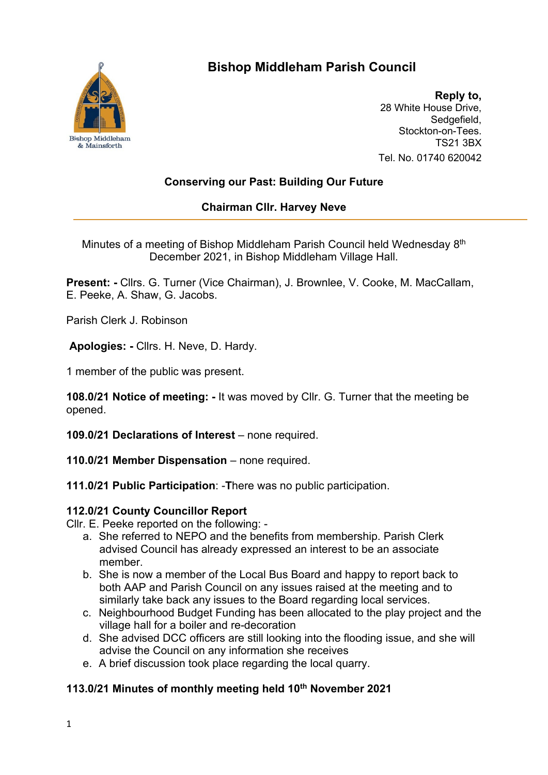

# **Bishop Middleham Parish Council**

**Reply to,** 28 White House Drive, Sedgefield, Stockton-on-Tees. TS21 3BX Tel. No. 01740 620042

## **Conserving our Past: Building Our Future**

### **Chairman Cllr. Harvey Neve**

Minutes of a meeting of Bishop Middleham Parish Council held Wednesday 8<sup>th</sup> December 2021, in Bishop Middleham Village Hall.

**Present: -** Cllrs. G. Turner (Vice Chairman), J. Brownlee, V. Cooke, M. MacCallam, E. Peeke, A. Shaw, G. Jacobs.

Parish Clerk J. Robinson

**Apologies: -** Cllrs. H. Neve, D. Hardy.

1 member of the public was present.

**108.0/21 Notice of meeting: -** It was moved by Cllr. G. Turner that the meeting be opened.

**109.0/21 Declarations of Interest** – none required.

**110.0/21 Member Dispensation** – none required.

**111.0/21 Public Participation**: -**T**here was no public participation.

#### **112.0/21 County Councillor Report**

Cllr. E. Peeke reported on the following: -

- a. She referred to NEPO and the benefits from membership. Parish Clerk advised Council has already expressed an interest to be an associate member.
- b. She is now a member of the Local Bus Board and happy to report back to both AAP and Parish Council on any issues raised at the meeting and to similarly take back any issues to the Board regarding local services.
- c. Neighbourhood Budget Funding has been allocated to the play project and the village hall for a boiler and re-decoration
- d. She advised DCC officers are still looking into the flooding issue, and she will advise the Council on any information she receives
- e. A brief discussion took place regarding the local quarry.

## **113.0/21 Minutes of monthly meeting held 10th November 2021**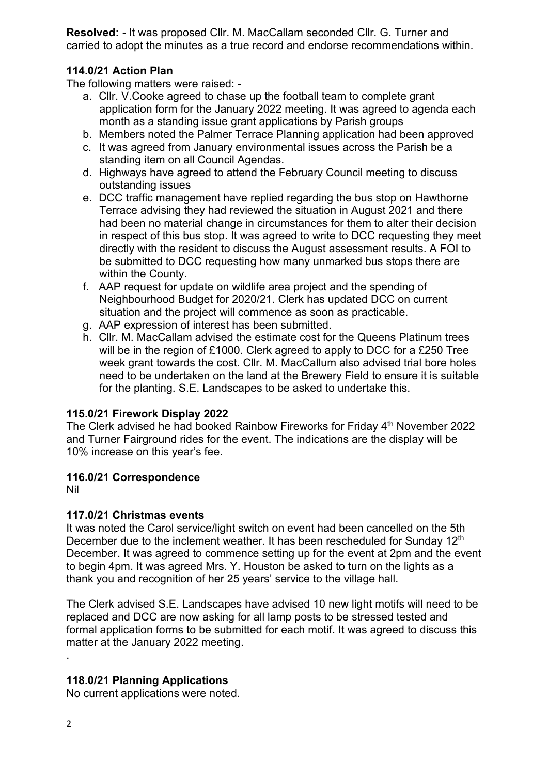**Resolved: -** It was proposed Cllr. M. MacCallam seconded Cllr. G. Turner and carried to adopt the minutes as a true record and endorse recommendations within.

#### **114.0/21 Action Plan**

The following matters were raised: -

- a. Cllr. V.Cooke agreed to chase up the football team to complete grant application form for the January 2022 meeting. It was agreed to agenda each month as a standing issue grant applications by Parish groups
- b. Members noted the Palmer Terrace Planning application had been approved
- c. It was agreed from January environmental issues across the Parish be a standing item on all Council Agendas.
- d. Highways have agreed to attend the February Council meeting to discuss outstanding issues
- e. DCC traffic management have replied regarding the bus stop on Hawthorne Terrace advising they had reviewed the situation in August 2021 and there had been no material change in circumstances for them to alter their decision in respect of this bus stop. It was agreed to write to DCC requesting they meet directly with the resident to discuss the August assessment results. A FOI to be submitted to DCC requesting how many unmarked bus stops there are within the County.
- f. AAP request for update on wildlife area project and the spending of Neighbourhood Budget for 2020/21. Clerk has updated DCC on current situation and the project will commence as soon as practicable.
- g. AAP expression of interest has been submitted.
- h. Cllr. M. MacCallam advised the estimate cost for the Queens Platinum trees will be in the region of £1000. Clerk agreed to apply to DCC for a £250 Tree week grant towards the cost. Cllr. M. MacCallum also advised trial bore holes need to be undertaken on the land at the Brewery Field to ensure it is suitable for the planting. S.E. Landscapes to be asked to undertake this.

#### **115.0/21 Firework Display 2022**

The Clerk advised he had booked Rainbow Fireworks for Friday 4th November 2022 and Turner Fairground rides for the event. The indications are the display will be 10% increase on this year's fee.

#### **116.0/21 Correspondence**

Nil

#### **117.0/21 Christmas events**

It was noted the Carol service/light switch on event had been cancelled on the 5th December due to the inclement weather. It has been rescheduled for Sunday 12<sup>th</sup> December. It was agreed to commence setting up for the event at 2pm and the event to begin 4pm. It was agreed Mrs. Y. Houston be asked to turn on the lights as a thank you and recognition of her 25 years' service to the village hall.

The Clerk advised S.E. Landscapes have advised 10 new light motifs will need to be replaced and DCC are now asking for all lamp posts to be stressed tested and formal application forms to be submitted for each motif. It was agreed to discuss this matter at the January 2022 meeting.

#### **118.0/21 Planning Applications**

No current applications were noted.

.